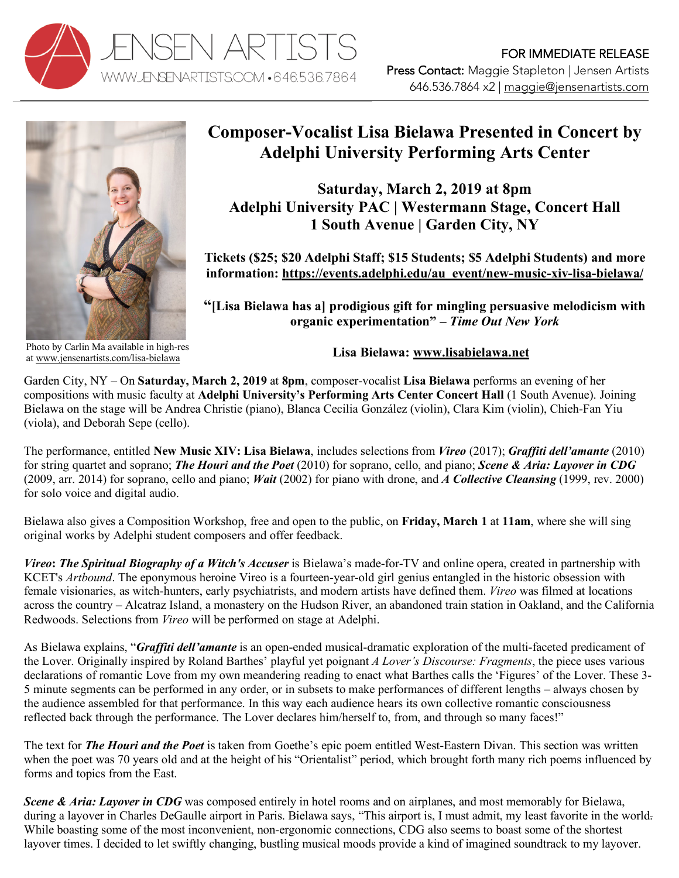



## **Composer-Vocalist Lisa Bielawa Presented in Concert by Adelphi University Performing Arts Center**

**Saturday, March 2, 2019 at 8pm Adelphi University PAC | Westermann Stage, Concert Hall 1 South Avenue | Garden City, NY**

**Tickets (\$25; \$20 Adelphi Staff; \$15 Students; \$5 Adelphi Students) and more information: https://events.adelphi.edu/au\_event/new-music-xiv-lisa-bielawa/**

**"[Lisa Bielawa has a] prodigious gift for mingling persuasive melodicism with organic experimentation" –** *Time Out New York*

Photo by Carlin Ma available in high-res at www.jensenartists.com/lisa-bielawa

## **Lisa Bielawa: www.lisabielawa.net**

Garden City, NY – On **Saturday, March 2, 2019** at **8pm**, composer-vocalist **Lisa Bielawa** performs an evening of her compositions with music faculty at **Adelphi University's Performing Arts Center Concert Hall** (1 South Avenue). Joining Bielawa on the stage will be Andrea Christie (piano), Blanca Cecilia González (violin), Clara Kim (violin), Chieh-Fan Yiu (viola), and Deborah Sepe (cello).

The performance, entitled **New Music XIV: Lisa Bielawa**, includes selections from *Vireo* (2017); *Graffiti dell'amante* (2010) for string quartet and soprano; *The Houri and the Poet* (2010) for soprano, cello, and piano; *Scene & Aria: Layover in CDG*  (2009, arr. 2014) for soprano, cello and piano; *Wait* (2002) for piano with drone, and *A Collective Cleansing* (1999, rev. 2000) for solo voice and digital audio.

Bielawa also gives a Composition Workshop, free and open to the public, on **Friday, March 1** at **11am**, where she will sing original works by Adelphi student composers and offer feedback.

*Vireo***:** *The Spiritual Biography of a Witch's Accuser* is Bielawa's made-for-TV and online opera, created in partnership with KCET's *Artbound*. The eponymous heroine Vireo is a fourteen-year-old girl genius entangled in the historic obsession with female visionaries, as witch-hunters, early psychiatrists, and modern artists have defined them. *Vireo* was filmed at locations across the country – Alcatraz Island, a monastery on the Hudson River, an abandoned train station in Oakland, and the California Redwoods. Selections from *Vireo* will be performed on stage at Adelphi.

As Bielawa explains, "*Graffiti dell'amante* is an open-ended musical-dramatic exploration of the multi-faceted predicament of the Lover. Originally inspired by Roland Barthes' playful yet poignant *A Lover's Discourse: Fragments*, the piece uses various declarations of romantic Love from my own meandering reading to enact what Barthes calls the 'Figures' of the Lover. These 3- 5 minute segments can be performed in any order, or in subsets to make performances of different lengths – always chosen by the audience assembled for that performance. In this way each audience hears its own collective romantic consciousness reflected back through the performance. The Lover declares him/herself to, from, and through so many faces!"

The text for *The Houri and the Poet* is taken from Goethe's epic poem entitled West-Eastern Divan. This section was written when the poet was 70 years old and at the height of his "Orientalist" period, which brought forth many rich poems influenced by forms and topics from the East.

*Scene & Aria: Layover in CDG* was composed entirely in hotel rooms and on airplanes, and most memorably for Bielawa, during a layover in Charles DeGaulle airport in Paris. Bielawa says, "This airport is, I must admit, my least favorite in the world-While boasting some of the most inconvenient, non-ergonomic connections, CDG also seems to boast some of the shortest layover times. I decided to let swiftly changing, bustling musical moods provide a kind of imagined soundtrack to my layover.